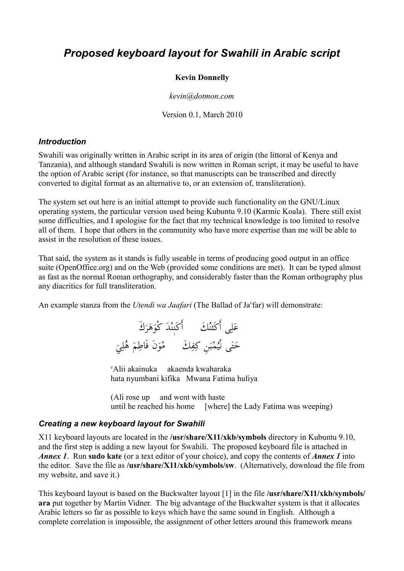# *Proposed keyboard layout for Swahili in Arabic script*

#### **Kevin Donnelly**

*kevin@dotmon.com*

Version 0.1, March 2010

#### *Introduction*

Swahili was originally written in Arabic script in its area of origin (the littoral of Kenya and Tanzania), and although standard Swahili is now written in Roman script, it may be useful to have the option of Arabic script (for instance, so that manuscripts can be transcribed and directly converted to digital format as an alternative to, or an extension of, transliteration).

The system set out here is an initial attempt to provide such functionality on the GNU/Linux operating system, the particular version used being Kubuntu 9.10 (Karmic Koala). There still exist some difficulties, and I apologise for the fact that my technical knowledge is too limited to resolve all of them. I hope that others in the community who have more expertise than me will be able to assist in the resolution of these issues.

That said, the system as it stands is fully useable in terms of producing good output in an office suite (OpenOffice.org) and on the Web (provided some conditions are met). It can be typed almost as fast as the normal Roman orthography, and considerably faster than the Roman orthography plus any diacritics for full transliteration.

An example stanza from the *Utendi wa Jaafari* (The Ballad of Ja<sup>c</sup>far) will demonstrate:

عَلِي أَكَنُنكَ أَكَنٖنْدَ كْوَهَرَكَ َ ٖ أ حَتَى نُيُمْبَنِ كِفِكَ ۚ مْوَنَ فَاطِمَ هُلِيَ ل  $\frac{1}{2}$ ي ء<br>م

<sup>c</sup>Alii akainuka akaenda kwaharaka hata nyumbani kifika Mwana Fatima huliya

(Ali rose up and went with haste until he reached his home [where] the Lady Fatima was weeping)

#### *Creating a new keyboard layout for Swahili*

X11 keyboard layouts are located in the **/usr/share/X11/xkb/symbols** directory in Kubuntu 9.10, and the first step is adding a new layout for Swahili. The proposed keyboard file is attached in *Annex 1*. Run **sudo kate** (or a text editor of your choice), and copy the contents of *Annex 1* into the editor. Save the file as **/usr/share/X11/xkb/symbols/sw**. (Alternatively, download the file from my website, and save it.)

This keyboard layout is based on the Buckwalter layout [1] in the file **/usr/share/X11/xkb/symbols/ ara** put together by Martin Vidner. The big advantage of the Buckwalter system is that it allocates Arabic letters so far as possible to keys which have the same sound in English. Although a complete correlation is impossible, the assignment of other letters around this framework means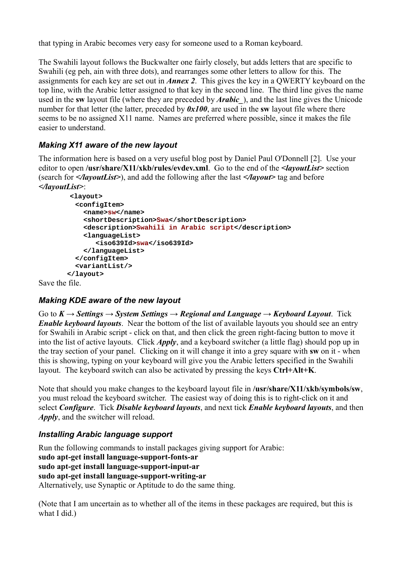that typing in Arabic becomes very easy for someone used to a Roman keyboard.

The Swahili layout follows the Buckwalter one fairly closely, but adds letters that are specific to Swahili (eg peh, ain with three dots), and rearranges some other letters to allow for this. The assignments for each key are set out in *Annex 2*. This gives the key in a QWERTY keyboard on the top line, with the Arabic letter assigned to that key in the second line. The third line gives the name used in the **sw** layout file (where they are preceded by *Arabic\_*), and the last line gives the Unicode number for that letter (the latter, preceded by *0x100*, are used in the **sw** layout file where there seems to be no assigned X11 name. Names are preferred where possible, since it makes the file easier to understand.

# *Making X11 aware of the new layout*

The information here is based on a very useful blog post by Daniel Paul O'Donnell [2]. Use your editor to open **/usr/share/X11/xkb/rules/evdev.xml**. Go to the end of the *<layoutList>* section (search for *</layoutList>*), and add the following after the last *</layout>* tag and before *</layoutList>*:

```
 <layout>
   <configItem>
     <name>sw</name>
     <shortDescription>Swa</shortDescription>
     <description>Swahili in Arabic script</description>
     <languageList>
        <iso639Id>swa</iso639Id>
     </languageList>
   </configItem>
   <variantList/>
 </layout>
```
Save the file.

# *Making KDE aware of the new layout*

Go to  $K \to$  Settings  $\to$  System Settings  $\to$  Regional and Language  $\to$  Keyboard Layout. Tick *Enable keyboard layouts*. Near the bottom of the list of available layouts you should see an entry for Swahili in Arabic script - click on that, and then click the green right-facing button to move it into the list of active layouts. Click *Apply*, and a keyboard switcher (a little flag) should pop up in the tray section of your panel. Clicking on it will change it into a grey square with **sw** on it - when this is showing, typing on your keyboard will give you the Arabic letters specified in the Swahili layout. The keyboard switch can also be activated by pressing the keys **Ctrl+Alt+K**.

Note that should you make changes to the keyboard layout file in **/usr/share/X11/xkb/symbols/sw**, you must reload the keyboard switcher. The easiest way of doing this is to right-click on it and select *Configure*. Tick *Disable keyboard layouts*, and next tick *Enable keyboard layouts*, and then *Apply*, and the switcher will reload.

# *Installing Arabic language support*

Run the following commands to install packages giving support for Arabic: **sudo apt-get install language-support-fonts-ar sudo apt-get install language-support-input-ar sudo apt-get install language-support-writing-ar** Alternatively, use Synaptic or Aptitude to do the same thing.

(Note that I am uncertain as to whether all of the items in these packages are required, but this is what I did.)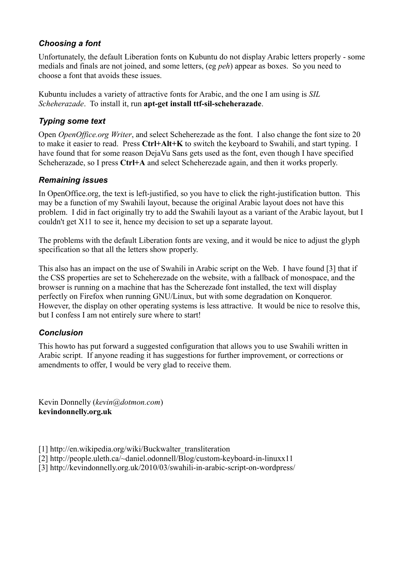## *Choosing a font*

Unfortunately, the default Liberation fonts on Kubuntu do not display Arabic letters properly - some medials and finals are not joined, and some letters, (eg *peh*) appear as boxes. So you need to choose a font that avoids these issues.

Kubuntu includes a variety of attractive fonts for Arabic, and the one I am using is *SIL Scheherazade*. To install it, run **apt-get install ttf-sil-scheherazade**.

### *Typing some text*

Open *OpenOffice.org Writer*, and select Scheherezade as the font. I also change the font size to 20 to make it easier to read. Press **Ctrl+Alt+K** to switch the keyboard to Swahili, and start typing. I have found that for some reason DejaVu Sans gets used as the font, even though I have specified Scheherazade, so I press **Ctrl+A** and select Scheherezade again, and then it works properly.

### *Remaining issues*

In OpenOffice.org, the text is left-justified, so you have to click the right-justification button. This may be a function of my Swahili layout, because the original Arabic layout does not have this problem. I did in fact originally try to add the Swahili layout as a variant of the Arabic layout, but I couldn't get X11 to see it, hence my decision to set up a separate layout.

The problems with the default Liberation fonts are vexing, and it would be nice to adjust the glyph specification so that all the letters show properly.

This also has an impact on the use of Swahili in Arabic script on the Web. I have found [3] that if the CSS properties are set to Scheherezade on the website, with a fallback of monospace, and the browser is running on a machine that has the Scherezade font installed, the text will display perfectly on Firefox when running GNU/Linux, but with some degradation on Konqueror. However, the display on other operating systems is less attractive. It would be nice to resolve this, but I confess I am not entirely sure where to start!

### *Conclusion*

This howto has put forward a suggested configuration that allows you to use Swahili written in Arabic script. If anyone reading it has suggestions for further improvement, or corrections or amendments to offer, I would be very glad to receive them.

Kevin Donnelly (*kevin@dotmon.com*) **kevindonnelly.org.uk**

- [1] http://en.wikipedia.org/wiki/Buckwalter\_transliteration
- [2] http://people.uleth.ca/~daniel.odonnell/Blog/custom-keyboard-in-linuxx11
- [3] http://kevindonnelly.org.uk/2010/03/swahili-in-arabic-script-on-wordpress/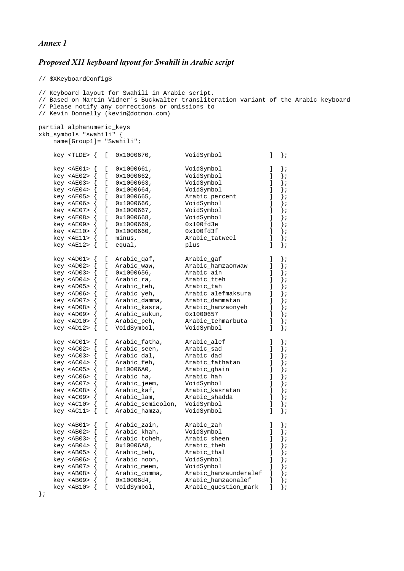#### *Annex 1*

#### *Proposed X11 keyboard layout for Swahili in Arabic script*

```
// $XKeyboardConfig$
```

```
// Keyboard layout for Swahili in Arabic script.
// Based on Martin Vidner's Buckwalter transliteration variant of the Arabic keyboard
// Please notify any corrections or omissions to
// Kevin Donnelly (kevin@dotmon.com)
partial alphanumeric_keys 
xkb_symbols "swahili" {
       name[Group1]= "Swahili";
       key <TLDE> { [ 0x1000670, VoidSymbol ] };
      key <AE01> { [ 0x1000661, <br>
key <AE02> { [ 0x1000662, <br>
key <AE03> { [ 0x1000663, <br>
key <AE04> { [ 0x1000663, <br>
voidSymbol \begin{array}{c} 1 \\ j \\ k \end{array};<br>
key <AE04> { [ 0x1000664, <br>
VoidSymbol \begin{array}{c} 1 \\ j \\ j \end{array};
 key <AE02> { [ 0x1000662, VoidSymbol ] };
 key <AE03> { [ 0x1000663, VoidSymbol ] };
      key <AE02> { [ 0x1000662, VoidSymbol ] };<br>
key <AE03> { [ 0x1000663, VoidSymbol ] };<br>
key <AE04> { [ 0x1000664, VoidSymbol ] };<br>
key <AE05> { [ 0x1000665, Arabic_percent ] };<br>
key <AE06> { [ 0x1000666, VoidSymbol ] };<br>
key
                           \begin{bmatrix} 0 \times 1000665, \\ 0 \times 1000666, \end{bmatrix} Arabic_percent \begin{bmatrix} 1 \\ 3 \\ 1 \end{bmatrix};
      key <AE06> { [ 0x1000666, VoidSymbol<br>
key <AE07> { [ 0x1000667, VoidSymbol<br>
key <AE08> { [ 0x1000668, VoidSymbol<br>
voidSymbol<br>
voidSymbol
 key <AE07> { [ 0x1000667, VoidSymbol ] };
 key <AE08> { [ 0x1000668, VoidSymbol ] };
      key <AE09> { [ 0x1000669, 0x100fd3e ] };<br>key <AE10> { [ 0x1000660, 0x100fd3f ] };<br>key <AE11> { [ minus, 0x100fd3f ] };
      key <AE10> { [ 0x1000660, 0x100fd3f ] };<br>key <AE11> { [ minus, 0x100fd3f ] };
                                                            Arabic_tatweel
       key <AE12> { [ equal, plus ] };
       key <AD01> { [ Arabic_qaf, Arabic_gaf ] };
      key <AD02> { \begin{bmatrix} 1 & 0 & 0 \\ 0 & 1 & 0 \\ 0 & 0 & 1 \end{bmatrix} Arabic_hamzaonwaw \begin{bmatrix} 1 & 0 & 0 \\ 0 & 1 & 0 \\ 0 & 1 & 0 \end{bmatrix};<br>key <AD03> { \begin{bmatrix} 0 & 0 & 0 & 0 \\ 0 & 0 & 1 & 0 \\ 0 & 0 & 0 & 0 \\ 0 & 0 & 0 & 0 \end{bmatrix} Arabic_ain
                           key <AD03> { [ 0x1000656, Arabic_ain ] };
 key <AD04> { [ Arabic_ra, Arabic_tteh ] };
 key <AD05> { [ Arabic_teh, Arabic_tah ] };
     key <AD04> { [ Arabic_ra,     Arabic_tteh     ] };<br>key <AD05> { [ Arabic_teh,     Arabic_tah   ] };<br>key <AD06> { [ Arabic_yeh,     Arabic_alefmaksura   ] };<br>key <AD07> { [ Arabic_damma,     Arabic_dammatan   ] };<br>key <AD08
                               Arabic_damma, Arabic_dammatan ]<br>Arabic_kasra, Arabic_hamzaonyeh ]
                          wa Kamalic Kasra, Arabic hamzaonyeh [ Arabic sukun, 0x1000657<br>[ Arabic peh,   Arabic tehmarbuta
       key <AD09> { [ Arabic_sukun, 0x1000657 ] };
       key <AD10> { [ Arabic_peh, Arabic_tehmarbuta ] };
                          \begin{bmatrix} \text{VoldSymbol}, \text{VoldSymbol} \end{bmatrix} key <AC01> { [ Arabic_fatha, Arabic_alef ] };
      key <AC02> \{ [ Arabic_seen, Arabic_sad ] \};<br>key <AC03> \{ [ Arabic_dal, Arabic_dad ] \};
      key <AC03> { [ Arabic_dal, Arabic_dad ] };<br>
key <AC04> { [ Arabic_feh, Arabic_fathatan ] };<br>
key <AC05> { [ 0x10006A0, Arabic_ghain ] };<br>
key <AC06> { [ Arabic_ha, Arabic_hah ] };<br>
key <AC07> { [ Arabic_jeem, VoidSymbol ] 
     key <AC04> { [ Arabic_feh,     Arabic_fathatan     ] };<br>key <AC05> { [ 0x10006A0,     Arabic_ghain     ] };<br>key <AC06> { [ Arabic_ha,     Arabic_hah   ] };
 key <AC05> { [ 0x10006A0, Arabic_ghain ] };
 key <AC06> { [ Arabic_ha, Arabic_hah ] };
       key <AC07> { [ Arabic_jeem, VoidSymbol ] };
     key <AC08> { [ Arabic_kaf,     Arabic_kasratan   ]<br>key <AC09> { [ Arabic_lam,     Arabic_shadda   ]
     key <AC09> { [ Arabic_lam,     Arabic_shadda     ] };<br>key <AC10> { [ Arabic_semicolon, VoidSymbol       ] };<br>key <AC11> { [ Arabic_hamza,     VoidSymbol       ] };
                               Arabic_semicolon, VoidSymbol \begin{bmatrix} \overline{1} \\ 1 \end{bmatrix}<br>Arabic_hamza, VoidSymbol ]
                              Arabic_hamza,
       key <AB01> { [ Arabic_zain, Arabic_zah ] };
     key <AB02> { [ Arabic_khah,  VoidSymbol ] };<br>key <AB03> { [ Arabic_tcheh,  Arabic_sheen ] };<br>key <AB04> { [ 0x10006A8,  Arabic_theh ] };
      key <AB03> { [ Arabic_tcheh,  Arabic_sheen ]<br>key <AB04> { [ 0x10006A8,  Arabic_theh ]
                           key <AB04> { [ 0x10006A8, Arabic_theh ] };
 key <AB05> { [ Arabic_beh, Arabic_thal ] };
 key <AB06> { [ Arabic_noon, VoidSymbol ] };
     key <AB07> { [ Arabic_meem,  VoidSymbol [ ] };<br>key <AB08> { [ Arabic_comma,  Arabic_hamzaunderalef ] };<br>key <AB09> { [ 0x10006d4,  Arabic_hamzaonalef ] };
                               Arabic_comma, Arabic_hamzaunderalef ] };<br>0 \times 10006d4, Arabic hamzaonalef 1 };
      key <AB09> \{ [ 0x10006d4, Arabic_hamzaonalef \{ \} \};<br>key <AB10> \{ [ VoidSymbol, Arabic question mark \{ \} ;
                                                            Arabic_question_mark ] };
```
};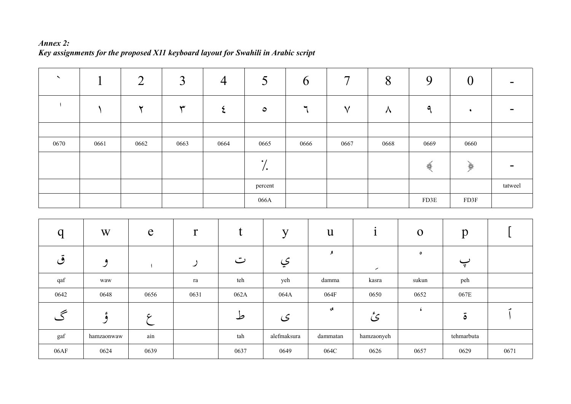#### *Annex 2: Key assignments for the proposed X11 keyboard layout for Swahili in Arabic script*

| $\boldsymbol{\checkmark}$ |      | $\overline{2}$ | $\overline{3}$ | $\overline{4}$ | 5               | $\mathbf b$ | $\overline{7}$ | 8         | 9    | $\boldsymbol{0}$                                                                                                                                                                                                                                                                                                                                                            | $\blacksquare$ |
|---------------------------|------|----------------|----------------|----------------|-----------------|-------------|----------------|-----------|------|-----------------------------------------------------------------------------------------------------------------------------------------------------------------------------------------------------------------------------------------------------------------------------------------------------------------------------------------------------------------------------|----------------|
|                           |      | $\check{}$     | س              |                | $\bullet$       | ٦           | $\checkmark$   | $\lambda$ | a    | $\ddot{\phantom{1}}$                                                                                                                                                                                                                                                                                                                                                        | $\sim$         |
|                           |      |                |                |                |                 |             |                |           |      |                                                                                                                                                                                                                                                                                                                                                                             |                |
| 0670                      | 0661 | 0662           | 0663           | 0664           | 0665            | 0666        | 0667           | 0668      | 0669 | 0660                                                                                                                                                                                                                                                                                                                                                                        |                |
|                           |      |                |                |                | $\bullet$<br>٠. |             |                |           | ₩    | $\begin{picture}(20,5) \put(0,0){\vector(0,1){10}} \put(15,0){\vector(0,1){10}} \put(15,0){\vector(0,1){10}} \put(15,0){\vector(0,1){10}} \put(15,0){\vector(0,1){10}} \put(15,0){\vector(0,1){10}} \put(15,0){\vector(0,1){10}} \put(15,0){\vector(0,1){10}} \put(15,0){\vector(0,1){10}} \put(15,0){\vector(0,1){10}} \put(15,0){\vector(0,1){10}} \put(15,0){\vector(0,$ | $\equiv$       |
|                           |      |                |                |                | percent         |             |                |           |      |                                                                                                                                                                                                                                                                                                                                                                             | tatweel        |
|                           |      |                |                |                | 066A            |             |                |           | FD3E | FD3F                                                                                                                                                                                                                                                                                                                                                                        |                |

| $\boldsymbol{q}$ | W          | $\mathbf e$ | r    | t.<br>L | $\mathbf{V}$ | $\mathbf{u}$          |            | $\mathbf O$ | $\mathbf{p}$       |      |
|------------------|------------|-------------|------|---------|--------------|-----------------------|------------|-------------|--------------------|------|
| ق                | ۹<br>ت     |             | ◢    | ت       | ي            | ٩                     | ╭          | $\bullet$   | $\overline{\cdot}$ |      |
| qaf              | waw        |             | ra   | teh     | yeh          | damma                 | kasra      | sukun       | peh                |      |
| 0642             | 0648       | 0656        | 0631 | 062A    | 064A         | 064F                  | 0650       | 0652        | 067E               |      |
|                  | ء          | c           |      | ط       | ى            | $\boldsymbol{\gamma}$ | ئ          |             | $\ddot{\circ}$     |      |
| gaf              | hamzaonwaw | ain         |      | tah     | alefmaksura  | dammatan              | hamzaonyeh |             | tehmarbuta         |      |
| 06AF             | 0624       | 0639        |      | 0637    | 0649         | 064C                  | 0626       | 0657        | 0629               | 0671 |